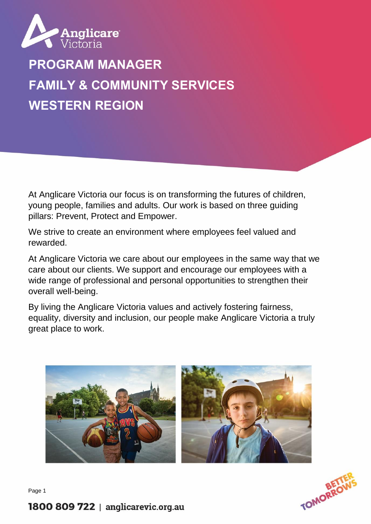

# **PROGRAM MANAGER FAMILY & COMMUNITY SERVICES WESTERN REGION**

At Anglicare Victoria our focus is on transforming the futures of children, young people, families and adults. Our work is based on three guiding pillars: Prevent, Protect and Empower.

We strive to create an environment where employees feel valued and rewarded.

At Anglicare Victoria we care about our employees in the same way that we care about our clients. We support and encourage our employees with a wide range of professional and personal opportunities to strengthen their overall well-being.

By living the Anglicare Victoria values and actively fostering fairness, equality, diversity and inclusion, our people make Anglicare Victoria a truly great place to work.





Page 1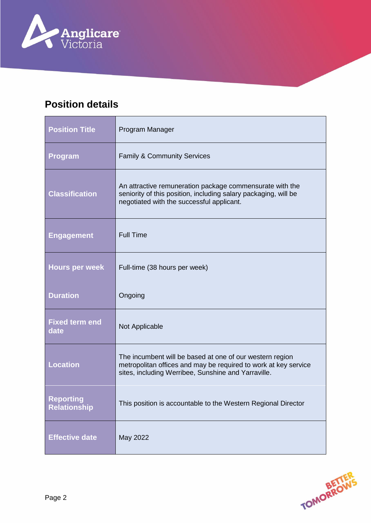

## **Position details**

| <b>Position Title</b>                   | Program Manager                                                                                                                                                                    |
|-----------------------------------------|------------------------------------------------------------------------------------------------------------------------------------------------------------------------------------|
| <b>Program</b>                          | <b>Family &amp; Community Services</b>                                                                                                                                             |
| <b>Classification</b>                   | An attractive remuneration package commensurate with the<br>seniority of this position, including salary packaging, will be<br>negotiated with the successful applicant.           |
| <b>Engagement</b>                       | <b>Full Time</b>                                                                                                                                                                   |
| <b>Hours per week</b>                   | Full-time (38 hours per week)                                                                                                                                                      |
| <b>Duration</b>                         | Ongoing                                                                                                                                                                            |
| <b>Fixed term end</b><br>date           | Not Applicable                                                                                                                                                                     |
| <b>Location</b>                         | The incumbent will be based at one of our western region<br>metropolitan offices and may be required to work at key service<br>sites, including Werribee, Sunshine and Yarraville. |
| <b>Reporting</b><br><b>Relationship</b> | This position is accountable to the Western Regional Director                                                                                                                      |
| <b>Effective date</b>                   | May 2022                                                                                                                                                                           |

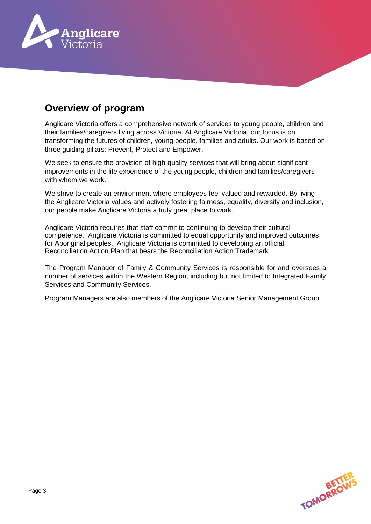

## **Overview of program**

Anglicare Victoria offers a comprehensive network of services to young people, children and their families/caregivers living across Victoria. At Anglicare Victoria, our focus is on transforming the futures of children, young people, families and adults**.** Our work is based on three guiding pillars: Prevent, Protect and Empower.

We seek to ensure the provision of high-quality services that will bring about significant improvements in the life experience of the young people, children and families/caregivers with whom we work.

We strive to create an environment where employees feel valued and rewarded. By living the Anglicare Victoria values and actively fostering fairness, equality, diversity and inclusion, our people make Anglicare Victoria a truly great place to work.

Anglicare Victoria requires that staff commit to continuing to develop their cultural competence. Anglicare Victoria is committed to equal opportunity and improved outcomes for Aboriginal peoples. Anglicare Victoria is committed to developing an official Reconciliation Action Plan that bears the Reconciliation Action Trademark.

The Program Manager of Family & Community Services is responsible for and oversees a number of services within the Western Region, including but not limited to Integrated Family Services and Community Services.

Program Managers are also members of the Anglicare Victoria Senior Management Group.

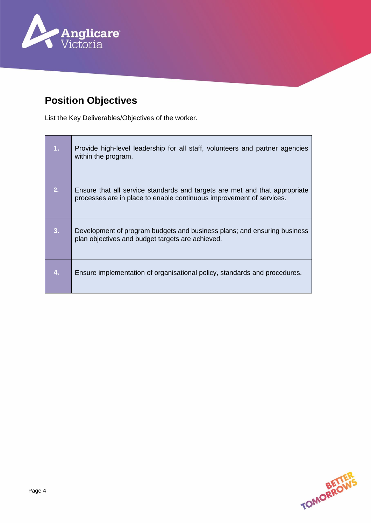

# **Position Objectives**

List the Key Deliverables/Objectives of the worker.

| 1. | Provide high-level leadership for all staff, volunteers and partner agencies<br>within the program.                                                |
|----|----------------------------------------------------------------------------------------------------------------------------------------------------|
| 2. | Ensure that all service standards and targets are met and that appropriate<br>processes are in place to enable continuous improvement of services. |
| 3. | Development of program budgets and business plans; and ensuring business<br>plan objectives and budget targets are achieved.                       |
| 4. | Ensure implementation of organisational policy, standards and procedures.                                                                          |

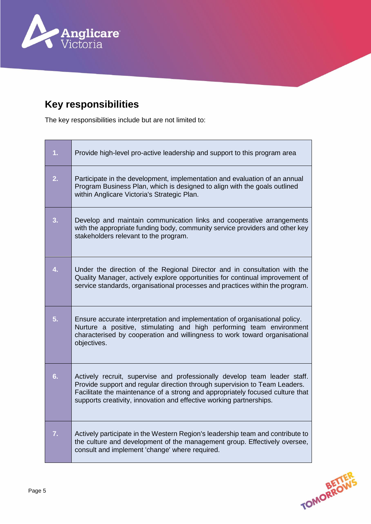

# **Key responsibilities**

The key responsibilities include but are not limited to:

| 1. | Provide high-level pro-active leadership and support to this program area                                                                                                                                                                                                                                       |
|----|-----------------------------------------------------------------------------------------------------------------------------------------------------------------------------------------------------------------------------------------------------------------------------------------------------------------|
| 2. | Participate in the development, implementation and evaluation of an annual<br>Program Business Plan, which is designed to align with the goals outlined<br>within Anglicare Victoria's Strategic Plan.                                                                                                          |
| 3. | Develop and maintain communication links and cooperative arrangements<br>with the appropriate funding body, community service providers and other key<br>stakeholders relevant to the program.                                                                                                                  |
| 4. | Under the direction of the Regional Director and in consultation with the<br>Quality Manager, actively explore opportunities for continual improvement of<br>service standards, organisational processes and practices within the program.                                                                      |
| 5. | Ensure accurate interpretation and implementation of organisational policy.<br>Nurture a positive, stimulating and high performing team environment<br>characterised by cooperation and willingness to work toward organisational<br>objectives.                                                                |
| 6. | Actively recruit, supervise and professionally develop team leader staff.<br>Provide support and regular direction through supervision to Team Leaders.<br>Facilitate the maintenance of a strong and appropriately focused culture that<br>supports creativity, innovation and effective working partnerships. |
| 7. | Actively participate in the Western Region's leadership team and contribute to<br>the culture and development of the management group. Effectively oversee,<br>consult and implement 'change' where required.                                                                                                   |

**TOMORROWS**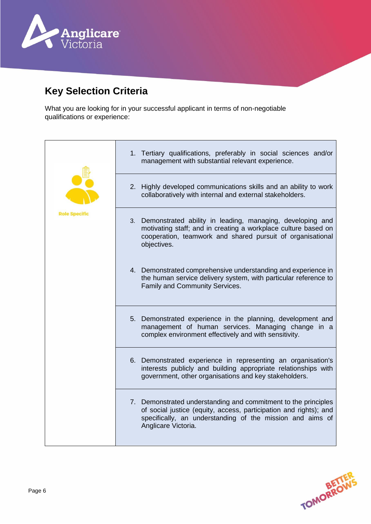

## **Key Selection Criteria**

What you are looking for in your successful applicant in terms of non-negotiable qualifications or experience:



TOMORROY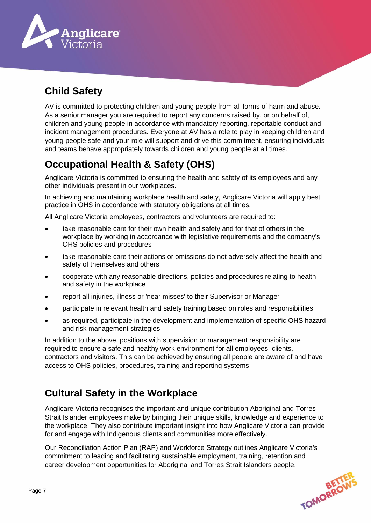

# **Child Safety**

AV is committed to protecting children and young people from all forms of harm and abuse. As a senior manager you are required to report any concerns raised by, or on behalf of, children and young people in accordance with mandatory reporting, reportable conduct and incident management procedures. Everyone at AV has a role to play in keeping children and young people safe and your role will support and drive this commitment, ensuring individuals and teams behave appropriately towards children and young people at all times.

# **Occupational Health & Safety (OHS)**

Anglicare Victoria is committed to ensuring the health and safety of its employees and any other individuals present in our workplaces.

In achieving and maintaining workplace health and safety, Anglicare Victoria will apply best practice in OHS in accordance with statutory obligations at all times.

All Anglicare Victoria employees, contractors and volunteers are required to:

- take reasonable care for their own health and safety and for that of others in the workplace by working in accordance with legislative requirements and the company's OHS policies and procedures
- take reasonable care their actions or omissions do not adversely affect the health and safety of themselves and others
- cooperate with any reasonable directions, policies and procedures relating to health and safety in the workplace
- report all injuries, illness or 'near misses' to their Supervisor or Manager
- participate in relevant health and safety training based on roles and responsibilities
- as required, participate in the development and implementation of specific OHS hazard and risk management strategies

In addition to the above, positions with supervision or management responsibility are required to ensure a safe and healthy work environment for all employees, clients, contractors and visitors. This can be achieved by ensuring all people are aware of and have access to OHS policies, procedures, training and reporting systems.

## **Cultural Safety in the Workplace**

Anglicare Victoria recognises the important and unique contribution Aboriginal and Torres Strait Islander employees make by bringing their unique skills, knowledge and experience to the workplace. They also contribute important insight into how Anglicare Victoria can provide for and engage with Indigenous clients and communities more effectively.

Our Reconciliation Action Plan (RAP) and Workforce Strategy outlines Anglicare Victoria's commitment to leading and facilitating sustainable employment, training, retention and career development opportunities for Aboriginal and Torres Strait Islanders people.